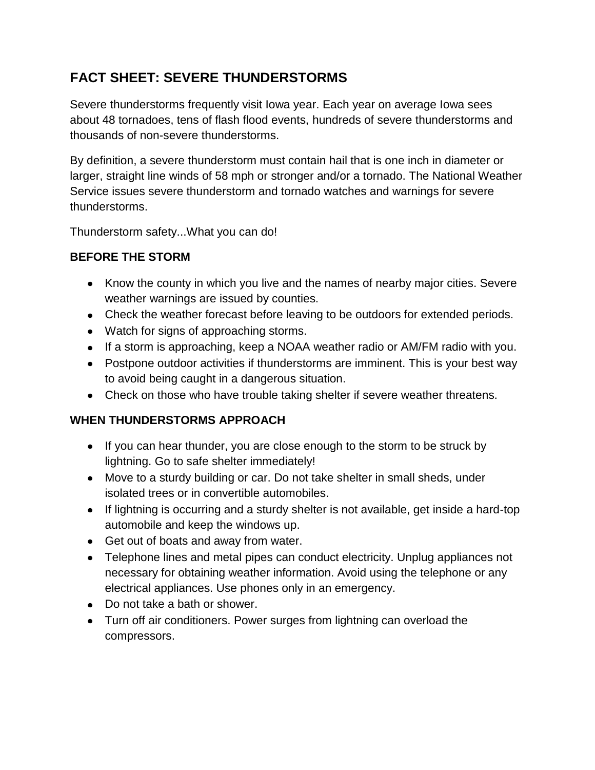## **FACT SHEET: SEVERE THUNDERSTORMS**

Severe thunderstorms frequently visit Iowa year. Each year on average Iowa sees about 48 tornadoes, tens of flash flood events, hundreds of severe thunderstorms and thousands of non-severe thunderstorms.

By definition, a severe thunderstorm must contain hail that is one inch in diameter or larger, straight line winds of 58 mph or stronger and/or a tornado. The National Weather Service issues severe thunderstorm and tornado watches and warnings for severe thunderstorms.

Thunderstorm safety...What you can do!

## **BEFORE THE STORM**

- Know the county in which you live and the names of nearby major cities. Severe weather warnings are issued by counties.
- Check the weather forecast before leaving to be outdoors for extended periods.
- Watch for signs of approaching storms.
- If a storm is approaching, keep a NOAA weather radio or AM/FM radio with you.
- Postpone outdoor activities if thunderstorms are imminent. This is your best way to avoid being caught in a dangerous situation.
- Check on those who have trouble taking shelter if severe weather threatens.

## **WHEN THUNDERSTORMS APPROACH**

- If you can hear thunder, you are close enough to the storm to be struck by lightning. Go to safe shelter immediately!
- Move to a sturdy building or car. Do not take shelter in small sheds, under isolated trees or in convertible automobiles.
- If lightning is occurring and a sturdy shelter is not available, get inside a hard-top automobile and keep the windows up.
- Get out of boats and away from water.
- Telephone lines and metal pipes can conduct electricity. Unplug appliances not necessary for obtaining weather information. Avoid using the telephone or any electrical appliances. Use phones only in an emergency.
- Do not take a bath or shower.
- Turn off air conditioners. Power surges from lightning can overload the compressors.